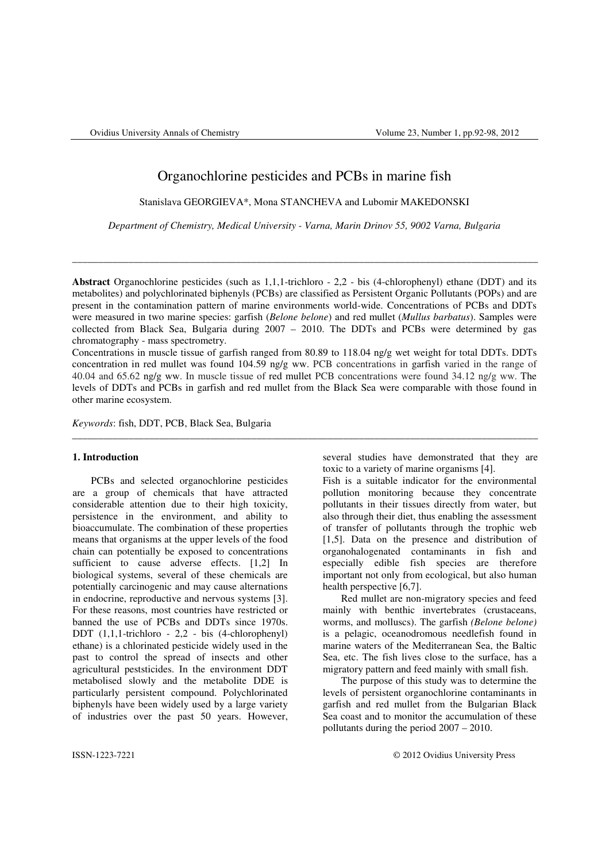# Organochlorine pesticides and PCBs in marine fish

Stanislava GEORGIEVA\*, Mona STANCHEVA and Lubomir MAKEDONSKI

*Department of Chemistry, Medical University - Varna, Marin Drinov 55, 9002 Varna, Bulgaria* 

\_\_\_\_\_\_\_\_\_\_\_\_\_\_\_\_\_\_\_\_\_\_\_\_\_\_\_\_\_\_\_\_\_\_\_\_\_\_\_\_\_\_\_\_\_\_\_\_\_\_\_\_\_\_\_\_\_\_\_\_\_\_\_\_\_\_\_\_\_\_\_\_\_\_\_\_\_\_\_\_\_\_\_\_\_\_\_\_\_\_\_

**Abstract** Organochlorine pesticides (such as 1,1,1-trichloro - 2,2 - bis (4-chlorophenyl) ethane (DDT) and its metabolites) and polychlorinated biphenyls (PCBs) are classified as Persistent Organic Pollutants (POPs) and are present in the contamination pattern of marine environments world-wide. Concentrations of PCBs and DDTs were measured in two marine species: garfish (*Belone belone*) and red mullet (*Mullus barbatus*). Samples were collected from Black Sea, Bulgaria during 2007 – 2010. The DDTs and PCBs were determined by gas chromatography - mass spectrometry.

Concentrations in muscle tissue of garfish ranged from 80.89 to 118.04 ng/g wet weight for total DDTs. DDTs concentration in red mullet was found 104.59 ng/g ww. PCB concentrations in garfish varied in the range of 40.04 and 65.62 ng/g ww. In muscle tissue of red mullet PCB concentrations were found 34.12 ng/g ww. The levels of DDTs and PCBs in garfish and red mullet from the Black Sea were comparable with those found in other marine ecosystem.

\_\_\_\_\_\_\_\_\_\_\_\_\_\_\_\_\_\_\_\_\_\_\_\_\_\_\_\_\_\_\_\_\_\_\_\_\_\_\_\_\_\_\_\_\_\_\_\_\_\_\_\_\_\_\_\_\_\_\_\_\_\_\_\_\_\_\_\_\_\_\_\_\_\_\_\_\_\_\_\_\_\_\_\_\_\_\_\_\_\_\_

*Keywords*: fish, DDT, PCB, Black Sea, Bulgaria

### **1. Introduction**

PCBs and selected organochlorine pesticides are a group of chemicals that have attracted considerable attention due to their high toxicity, persistence in the environment, and ability to bioaccumulate. The combination of these properties means that organisms at the upper levels of the food chain can potentially be exposed to concentrations sufficient to cause adverse effects. [1,2] In biological systems, several of these chemicals are potentially carcinogenic and may cause alternations in endocrine, reproductive and nervous systems [3]. For these reasons, most countries have restricted or banned the use of PCBs and DDTs since 1970s. DDT (1,1,1-trichloro - 2,2 - bis (4-chlorophenyl) ethane) is a chlorinated pesticide widely used in the past to control the spread of insects and other agricultural peststicides. In the environment DDT metabolised slowly and the metabolite DDE is particularly persistent compound. Polychlorinated biphenyls have been widely used by a large variety of industries over the past 50 years. However,

several studies have demonstrated that they are toxic to a variety of marine organisms [4].

Fish is a suitable indicator for the environmental pollution monitoring because they concentrate pollutants in their tissues directly from water, but also through their diet, thus enabling the assessment of transfer of pollutants through the trophic web [1,5]. Data on the presence and distribution of organohalogenated contaminants in fish and especially edible fish species are therefore important not only from ecological, but also human health perspective [6,7].

Red mullet are non-migratory species and feed mainly with benthic invertebrates (crustaceans, worms, and molluscs). The garfish *(Belone belone)* is a pelagic, oceanodromous needlefish found in marine waters of the Mediterranean Sea, the Baltic Sea, etc. The fish lives close to the surface, has a migratory pattern and feed mainly with small fish.

The purpose of this study was to determine the levels of persistent organochlorine contaminants in garfish and red mullet from the Bulgarian Black Sea coast and to monitor the accumulation of these pollutants during the period 2007 – 2010.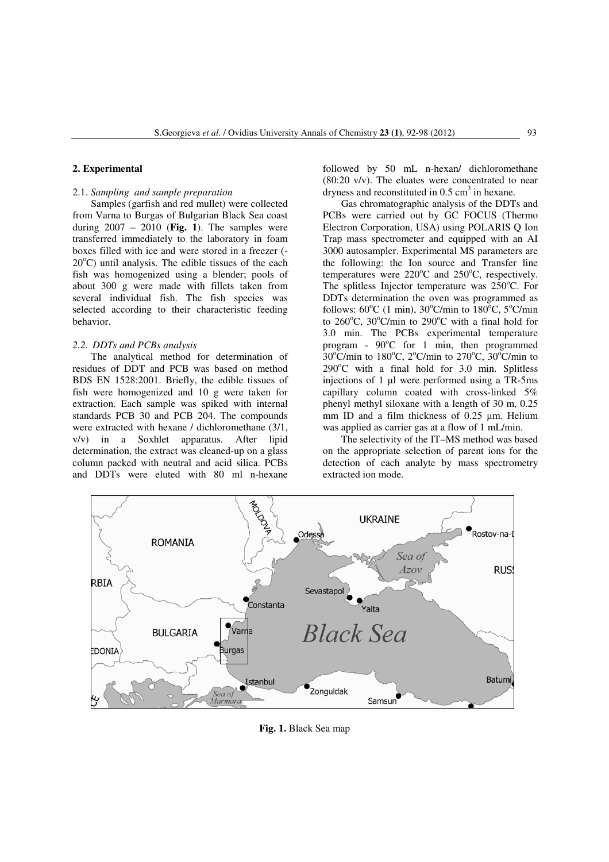## **2. Experimental**

### 2.1. *Sampling and sample preparation*

Samples (garfish and red mullet) were collected from Varna to Burgas of Bulgarian Black Sea coast during 2007 – 2010 (**Fig. 1**). The samples were transferred immediately to the laboratory in foam boxes filled with ice and were stored in a freezer (-  $20^{\circ}$ C) until analysis. The edible tissues of the each fish was homogenized using a blender; pools of about 300 g were made with fillets taken from several individual fish. The fish species was selected according to their characteristic feeding behavior.

# *2.2. DDTs and PCBs analysis*

The analytical method for determination of residues of DDT and PCB was based on method BDS EN 1528:2001. Briefly, the edible tissues of fish were homogenized and 10 g were taken for extraction. Each sample was spiked with internal standards PCB 30 and PCB 204. The compounds were extracted with hexane / dichloromethane (3/1, v/v) in a Soxhlet apparatus. After lipid determination, the extract was cleaned-up on a glass column packed with neutral and acid silica. PCBs and DDTs were eluted with 80 ml n-hexane

followed by 50 mL n-hexan/ dichloromethane (80:20 v/v). The eluates were concentrated to near dryness and reconstituted in  $0.5 \text{ cm}^3$  in hexane.

Gas chromatographic analysis of the DDTs and PCBs were carried out by GC FOCUS (Thermo Electron Corporation, USA) using POLARIS Q Ion Trap mass spectrometer and equipped with an AI 3000 autosampler. Experimental MS parameters are the following: the Ion source and Transfer line temperatures were  $220^{\circ}$ C and  $250^{\circ}$ C, respectively. The splitless Injector temperature was  $250^{\circ}$ C. For DDTs determination the oven was programmed as follows:  $60^{\circ}$ C (1 min),  $30^{\circ}$ C/min to  $180^{\circ}$ C,  $5^{\circ}$ C/min to  $260^{\circ}$ C,  $30^{\circ}$ C/min to  $290^{\circ}$ C with a final hold for 3.0 min. The PCBs experimental temperature program -  $90^{\circ}$ C for 1 min, then programmed  $30^{\circ}$ C/min to  $180^{\circ}$ C,  $2^{\circ}$ C/min to  $270^{\circ}$ C,  $30^{\circ}$ C/min to  $290^{\circ}$ C with a final hold for 3.0 min. Splitless injections of 1 µl were performed using a TR-5ms capillary column coated with cross-linked 5% phenyl methyl siloxane with a length of 30 m, 0.25 mm ID and a film thickness of 0.25  $\mu$ m. Helium was applied as carrier gas at a flow of 1 mL/min.

The selectivity of the IT–MS method was based on the appropriate selection of parent ions for the detection of each analyte by mass spectrometry extracted ion mode.



**Fig. 1.** Black Sea map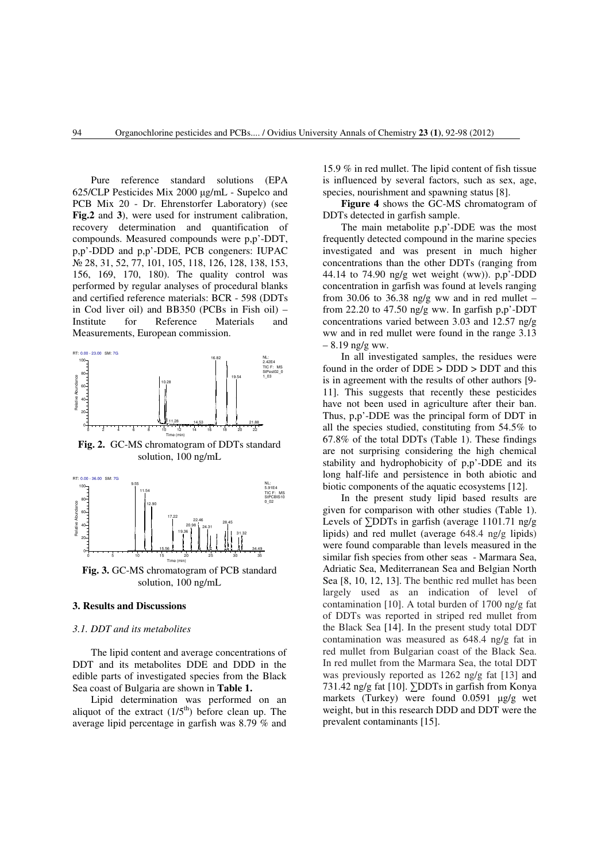Pure reference standard solutions (EPA 625/CLP Pesticides Mix 2000 µg/mL - Supelco and PCB Mix 20 - Dr. Ehrenstorfer Laboratory) (see **Fig.2** and **3**), were used for instrument calibration, recovery determination and quantification of compounds. Measured compounds were p,p'-DDT, p,p'-DDD and p,p'-DDE, PCB congeners: IUPAC № 28, 31, 52, 77, 101, 105, 118, 126, 128, 138, 153, 156, 169, 170, 180). The quality control was performed by regular analyses of procedural blanks and certified reference materials: BCR - 598 (DDTs in Cod liver oil) and BB350 (PCBs in Fish oil) – Institute for Reference Materials and Measurements, European commission.



**Fig. 2.** GC-MS chromatogram of DDTs standard solution, 100 ng/mL



#### **3. Results and Discussions**

#### *3.1. DDT and its metabolites*

The lipid content and average concentrations of DDT and its metabolites DDE and DDD in the edible parts of investigated species from the Black Sea coast of Bulgaria are shown in **Table 1.**

Lipid determination was performed on an aliquot of the extract  $(1/5<sup>th</sup>)$  before clean up. The average lipid percentage in garfish was 8.79 % and 15.9 % in red mullet. The lipid content of fish tissue is influenced by several factors, such as sex, age, species, nourishment and spawning status [8].

**Figure 4** shows the GC-MS chromatogram of DDTs detected in garfish sample.

The main metabolite p,p'-DDE was the most frequently detected compound in the marine species investigated and was present in much higher concentrations than the other DDTs (ranging from 44.14 to  $74.90$  ng/g wet weight (ww)).  $p, p'$ -DDD concentration in garfish was found at levels ranging from 30.06 to 36.38 ng/g ww and in red mullet – from 22.20 to 47.50 ng/g ww. In garfish  $p.p'.$ DDT concentrations varied between 3.03 and 12.57 ng/g ww and in red mullet were found in the range 3.13  $-8.19$  ng/g ww.

In all investigated samples, the residues were found in the order of DDE > DDD > DDT and this is in agreement with the results of other authors [9- 11]. This suggests that recently these pesticides have not been used in agriculture after their ban. Thus, p,p'-DDE was the principal form of DDT in all the species studied, constituting from 54.5% to 67.8% of the total DDTs (Table 1). These findings are not surprising considering the high chemical stability and hydrophobicity of p,p'-DDE and its long half-life and persistence in both abiotic and biotic components of the aquatic ecosystems [12].

In the present study lipid based results are given for comparison with other studies (Table 1). Levels of ∑DDTs in garfish (average 1101.71 ng/g lipids) and red mullet (average 648.4 ng/g lipids) were found comparable than levels measured in the similar fish species from other seas - Marmara Sea, Adriatic Sea, Mediterranean Sea and Belgian North Sea [8, 10, 12, 13]. The benthic red mullet has been largely used as an indication of level of contamination [10]. A total burden of 1700 ng/g fat of DDTs was reported in striped red mullet from the Black Sea [14]. In the present study total DDT contamination was measured as 648.4 ng/g fat in red mullet from Bulgarian coast of the Black Sea. In red mullet from the Marmara Sea, the total DDT was previously reported as 1262 ng/g fat [13] and 731.42 ng/g fat [10]. ∑DDTs in garfish from Konya markets (Turkey) were found 0.0591 µg/g wet weight, but in this research DDD and DDT were the prevalent contaminants [15].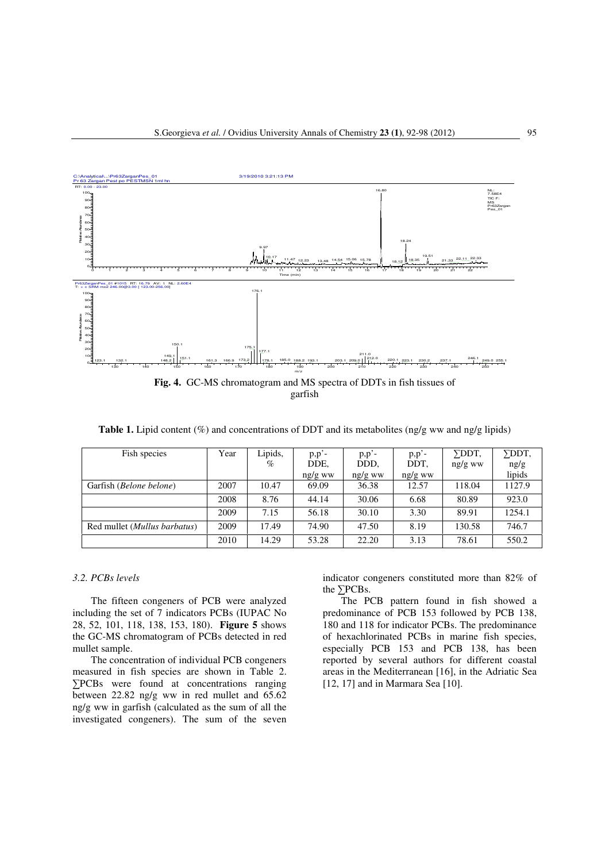

**Table 1.** Lipid content (%) and concentrations of DDT and its metabolites (ng/g ww and ng/g lipids)

| Fish species                          | Year | Lipids,<br>$\%$ | $p, p'$ -<br>DDE, | $p, p'$ -<br>DDD, | $p, p'$ -<br>DDT, | ∑DDT.<br>$ng/g$ ww | $\Sigma$ DDT,<br>ng/g |
|---------------------------------------|------|-----------------|-------------------|-------------------|-------------------|--------------------|-----------------------|
|                                       |      |                 | ng/g ww           | ng/g ww           | ng/g ww           |                    | lipids                |
| Garfish ( <i>Belone belone</i> )      | 2007 | 10.47           | 69.09             | 36.38             | 12.57             | 118.04             | 1127.9                |
|                                       | 2008 | 8.76            | 44.14             | 30.06             | 6.68              | 80.89              | 923.0                 |
|                                       | 2009 | 7.15            | 56.18             | 30.10             | 3.30              | 89.91              | 1254.1                |
| Red mullet ( <i>Mullus barbatus</i> ) | 2009 | 17.49           | 74.90             | 47.50             | 8.19              | 130.58             | 746.7                 |
|                                       | 2010 | 14.29           | 53.28             | 22.20             | 3.13              | 78.61              | 550.2                 |

# *3.2. PCBs levels*

The fifteen congeners of PCB were analyzed including the set of 7 indicators PCBs (IUPAC No 28, 52, 101, 118, 138, 153, 180). **Figure 5** shows the GC-MS chromatogram of PCBs detected in red mullet sample.

The concentration of individual PCB congeners measured in fish species are shown in Table 2. ∑PCBs were found at concentrations ranging between 22.82 ng/g ww in red mullet and 65.62 ng/g ww in garfish (calculated as the sum of all the investigated congeners). The sum of the seven indicator congeners constituted more than 82% of the ∑PCBs.

The PCB pattern found in fish showed a predominance of PCB 153 followed by PCB 138, 180 and 118 for indicator PCBs. The predominance of hexachlorinated PCBs in marine fish species, especially PCB 153 and PCB 138, has been reported by several authors for different coastal areas in the Mediterranean [16], in the Adriatic Sea [12, 17] and in Marmara Sea [10].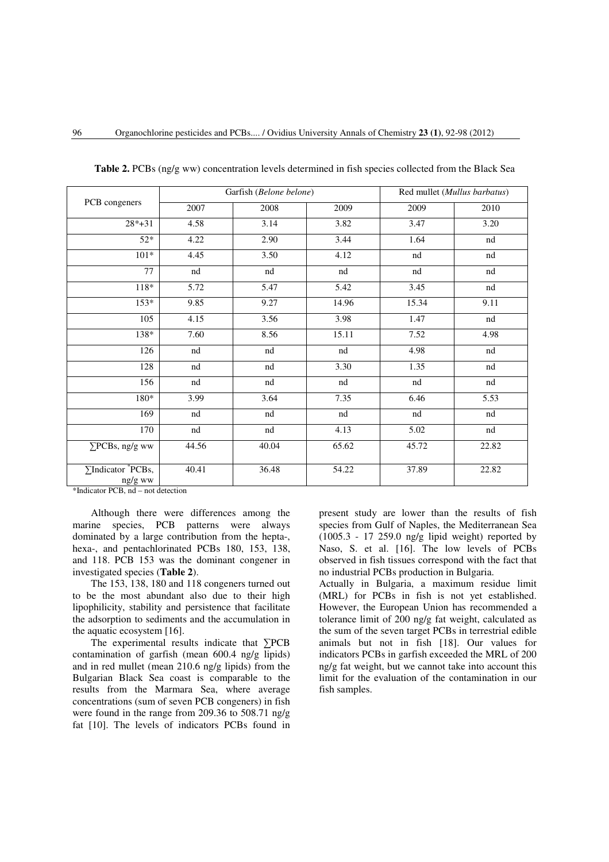| PCB congeners                          |       | Garfish (Belone belone) | Red mullet (Mullus barbatus) |       |       |
|----------------------------------------|-------|-------------------------|------------------------------|-------|-------|
|                                        | 2007  | 2008                    | 2009                         | 2009  | 2010  |
| $28*+31$                               | 4.58  | 3.14                    | 3.82                         | 3.47  | 3.20  |
| $52*$                                  | 4.22  | 2.90                    | 3.44                         | 1.64  | nd    |
| $101*$                                 | 4.45  | 3.50                    | 4.12                         | nd    | nd    |
| 77                                     | nd    | nd                      | nd                           | nd    | nd    |
| $118*$                                 | 5.72  | 5.47                    | 5.42                         | 3.45  | nd    |
| $153*$                                 | 9.85  | 9.27                    | 14.96                        | 15.34 | 9.11  |
| 105                                    | 4.15  | 3.56                    | 3.98                         | 1.47  | nd    |
| 138*                                   | 7.60  | 8.56                    | 15.11                        | 7.52  | 4.98  |
| 126                                    | nd    | nd                      | nd                           | 4.98  | nd    |
| 128                                    | nd    | nd                      | 3.30                         | 1.35  | nd    |
| 156                                    | nd    | nd                      | nd                           | nd    | nd    |
| 180*                                   | 3.99  | 3.64                    | 7.35                         | 6.46  | 5.53  |
| 169                                    | nd    | nd                      | nd                           | nd    | nd    |
| 170                                    | nd    | nd                      | 4.13                         | 5.02  | nd    |
| $\Sigma$ PCBs, ng/g ww                 | 44.56 | 40.04                   | 65.62                        | 45.72 | 22.82 |
| $\Sigma$ Indicator $PCBs$ ,<br>ng/g ww | 40.41 | 36.48                   | 54.22                        | 37.89 | 22.82 |

**Table 2.** PCBs (ng/g ww) concentration levels determined in fish species collected from the Black Sea

\*Indicator PCB, nd – not detection

Although there were differences among the marine species, PCB patterns were always dominated by a large contribution from the hepta-, hexa-, and pentachlorinated PCBs 180, 153, 138, and 118. PCB 153 was the dominant congener in investigated species (**Table 2**).

The 153, 138, 180 and 118 congeners turned out to be the most abundant also due to their high lipophilicity, stability and persistence that facilitate the adsorption to sediments and the accumulation in the aquatic ecosystem [16].

The experimental results indicate that ∑PCB contamination of garfish (mean 600.4 ng/g lipids) and in red mullet (mean 210.6 ng/g lipids) from the Bulgarian Black Sea coast is comparable to the results from the Marmara Sea, where average concentrations (sum of seven PCB congeners) in fish were found in the range from 209.36 to 508.71 ng/g fat [10]. The levels of indicators PCBs found in

present study are lower than the results of fish species from Gulf of Naples, the Mediterranean Sea (1005.3 - 17 259.0 ng/g lipid weight) reported by Naso, S. et al. [16]. The low levels of PCBs observed in fish tissues correspond with the fact that no industrial PCBs production in Bulgaria.

Actually in Bulgaria, a maximum residue limit (MRL) for PCBs in fish is not yet established. However, the European Union has recommended a tolerance limit of 200 ng/g fat weight, calculated as the sum of the seven target PCBs in terrestrial edible animals but not in fish [18]. Our values for indicators PCBs in garfish exceeded the MRL of 200 ng/g fat weight, but we cannot take into account this limit for the evaluation of the contamination in our fish samples.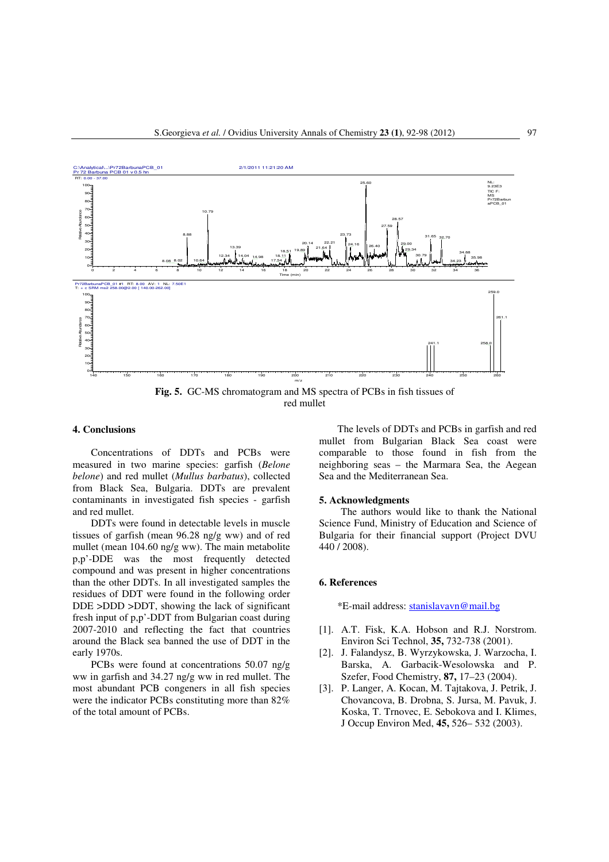

**Fig. 5.** GC-MS chromatogram and MS spectra of PCBs in fish tissues of red mullet

## **4. Conclusions**

Concentrations of DDTs and PCBs were measured in two marine species: garfish (*Belone belone*) and red mullet (*Mullus barbatus*), collected from Black Sea, Bulgaria. DDTs are prevalent contaminants in investigated fish species - garfish and red mullet.

DDTs were found in detectable levels in muscle tissues of garfish (mean 96.28 ng/g ww) and of red mullet (mean 104.60 ng/g ww). The main metabolite p,p'-DDE was the most frequently detected compound and was present in higher concentrations than the other DDTs. In all investigated samples the residues of DDT were found in the following order DDE >DDD >DDT, showing the lack of significant fresh input of p,p'-DDT from Bulgarian coast during 2007-2010 and reflecting the fact that countries around the Black sea banned the use of DDT in the early 1970s.

PCBs were found at concentrations 50.07 ng/g ww in garfish and 34.27 ng/g ww in red mullet. The most abundant PCB congeners in all fish species were the indicator PCBs constituting more than 82% of the total amount of PCBs.

The levels of DDTs and PCBs in garfish and red mullet from Bulgarian Black Sea coast were comparable to those found in fish from the neighboring seas – the Marmara Sea, the Aegean Sea and the Mediterranean Sea.

### **5. Acknowledgments**

The authors would like to thank the National Science Fund, Ministry of Education and Science of Bulgaria for their financial support (Project DVU 440 / 2008).

## **6. References**

\*E-mail address: stanislavavn@mail.bg

- [1]. A.T. Fisk, K.A. Hobson and R.J. Norstrom. Environ Sci Technol, **35,** 732-738 (2001).
- [2]. J. Falandysz, B. Wyrzykowska, J. Warzocha, I. Barska, A. Garbacik-Wesolowska and P. Szefer, Food Chemistry, **87,** 17–23 (2004).
- [3]. P. Langer, A. Kocan, M. Tajtakova, J. Petrik, J. Chovancova, B. Drobna, S. Jursa, M. Pavuk, J. Koska, T. Trnovec, E. Sebokova and I. Klimes, J Occup Environ Med, **45,** 526– 532 (2003).